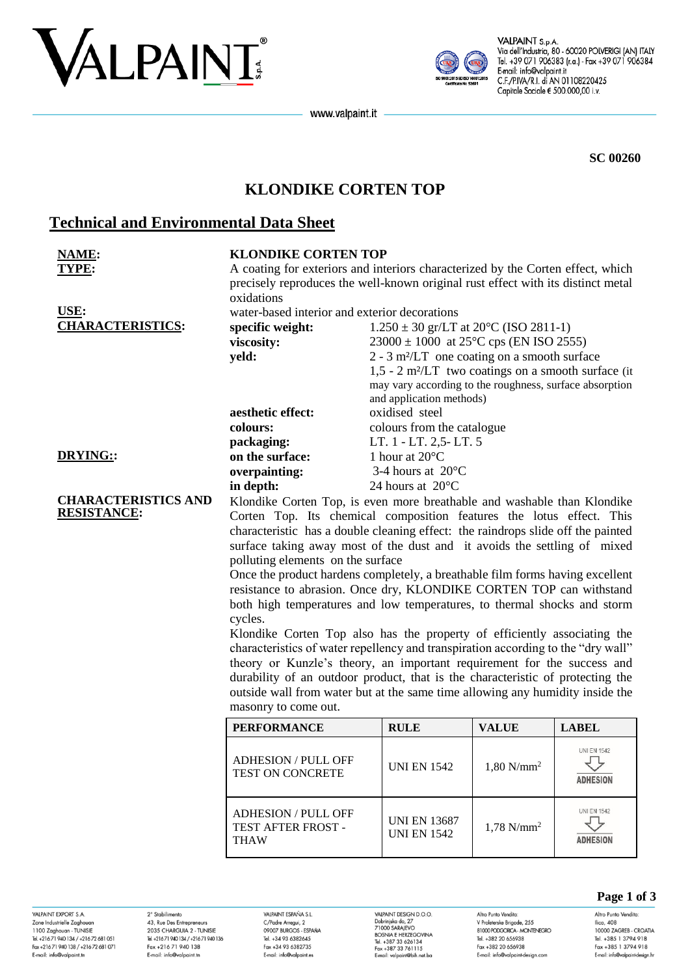



VALPAINT S.p.A. Via dell'Industria, 80 - 60020 POLVERIGI (AN) ITALY Tel. +39 071 906383 (r.a.) - Fax +39 071 906384 E-mail: info@valpaint.it C.F./P.IVA/R.I. di AN 01108220425 Capitale Sociale € 500.000,00 i.v.

www.valpaint.it

**SC 00260**

# **KLONDIKE CORTEN TOP**

# **Technical and Environmental Data Sheet**

| NAME:                                            | <b>KLONDIKE CORTEN TOP</b>                                                                                                                                                                                                                                                                                                                                                                                  |                                                                   |                          |                    |  |  |
|--------------------------------------------------|-------------------------------------------------------------------------------------------------------------------------------------------------------------------------------------------------------------------------------------------------------------------------------------------------------------------------------------------------------------------------------------------------------------|-------------------------------------------------------------------|--------------------------|--------------------|--|--|
| TYPE:                                            | A coating for exteriors and interiors characterized by the Corten effect, which                                                                                                                                                                                                                                                                                                                             |                                                                   |                          |                    |  |  |
|                                                  | precisely reproduces the well-known original rust effect with its distinct metal                                                                                                                                                                                                                                                                                                                            |                                                                   |                          |                    |  |  |
|                                                  | oxidations                                                                                                                                                                                                                                                                                                                                                                                                  |                                                                   |                          |                    |  |  |
| USE:                                             | water-based interior and exterior decorations                                                                                                                                                                                                                                                                                                                                                               |                                                                   |                          |                    |  |  |
| <b>CHARACTERISTICS:</b>                          | specific weight:<br>$1.250 \pm 30$ gr/LT at 20 <sup>o</sup> C (ISO 2811-1)                                                                                                                                                                                                                                                                                                                                  |                                                                   |                          |                    |  |  |
|                                                  | viscosity:                                                                                                                                                                                                                                                                                                                                                                                                  | $23000 \pm 1000$ at 25°C cps (EN ISO 2555)                        |                          |                    |  |  |
|                                                  | yeld:                                                                                                                                                                                                                                                                                                                                                                                                       | $2 - 3$ m <sup>2</sup> /LT one coating on a smooth surface        |                          |                    |  |  |
|                                                  |                                                                                                                                                                                                                                                                                                                                                                                                             | $1,5 - 2$ m <sup>2</sup> /LT two coatings on a smooth surface (it |                          |                    |  |  |
|                                                  |                                                                                                                                                                                                                                                                                                                                                                                                             | may vary according to the roughness, surface absorption           |                          |                    |  |  |
|                                                  |                                                                                                                                                                                                                                                                                                                                                                                                             | and application methods)                                          |                          |                    |  |  |
|                                                  | aesthetic effect:                                                                                                                                                                                                                                                                                                                                                                                           | oxidised steel                                                    |                          |                    |  |  |
|                                                  | colours:                                                                                                                                                                                                                                                                                                                                                                                                    | colours from the catalogue                                        |                          |                    |  |  |
|                                                  | packaging:                                                                                                                                                                                                                                                                                                                                                                                                  | LT. 1 - LT. 2,5 - LT. 5                                           |                          |                    |  |  |
| <b>DRYING::</b>                                  | on the surface:                                                                                                                                                                                                                                                                                                                                                                                             | 1 hour at $20^{\circ}$ C                                          |                          |                    |  |  |
|                                                  | overpainting:                                                                                                                                                                                                                                                                                                                                                                                               | 3-4 hours at 20°C                                                 |                          |                    |  |  |
|                                                  | in depth:                                                                                                                                                                                                                                                                                                                                                                                                   | 24 hours at 20°C                                                  |                          |                    |  |  |
| <b>CHARACTERISTICS AND</b><br><b>RESISTANCE:</b> | Klondike Corten Top, is even more breathable and washable than Klondike                                                                                                                                                                                                                                                                                                                                     |                                                                   |                          |                    |  |  |
|                                                  | Corten Top. Its chemical composition features the lotus effect. This                                                                                                                                                                                                                                                                                                                                        |                                                                   |                          |                    |  |  |
|                                                  | characteristic has a double cleaning effect: the raindrops slide off the painted                                                                                                                                                                                                                                                                                                                            |                                                                   |                          |                    |  |  |
|                                                  | surface taking away most of the dust and it avoids the settling of mixed                                                                                                                                                                                                                                                                                                                                    |                                                                   |                          |                    |  |  |
|                                                  | polluting elements on the surface<br>Once the product hardens completely, a breathable film forms having excellent                                                                                                                                                                                                                                                                                          |                                                                   |                          |                    |  |  |
|                                                  |                                                                                                                                                                                                                                                                                                                                                                                                             |                                                                   |                          |                    |  |  |
|                                                  | resistance to abrasion. Once dry, KLONDIKE CORTEN TOP can withstand<br>both high temperatures and low temperatures, to thermal shocks and storm                                                                                                                                                                                                                                                             |                                                                   |                          |                    |  |  |
|                                                  |                                                                                                                                                                                                                                                                                                                                                                                                             |                                                                   |                          |                    |  |  |
|                                                  | cycles.                                                                                                                                                                                                                                                                                                                                                                                                     |                                                                   |                          |                    |  |  |
|                                                  | Klondike Corten Top also has the property of efficiently associating the<br>characteristics of water repellency and transpiration according to the "dry wall"<br>theory or Kunzle's theory, an important requirement for the success and<br>durability of an outdoor product, that is the characteristic of protecting the<br>outside wall from water but at the same time allowing any humidity inside the |                                                                   |                          |                    |  |  |
|                                                  |                                                                                                                                                                                                                                                                                                                                                                                                             |                                                                   |                          |                    |  |  |
|                                                  |                                                                                                                                                                                                                                                                                                                                                                                                             |                                                                   |                          |                    |  |  |
|                                                  |                                                                                                                                                                                                                                                                                                                                                                                                             |                                                                   |                          |                    |  |  |
|                                                  | masonry to come out.                                                                                                                                                                                                                                                                                                                                                                                        |                                                                   |                          |                    |  |  |
|                                                  | <b>PERFORMANCE</b>                                                                                                                                                                                                                                                                                                                                                                                          | <b>RULE</b>                                                       | <b>VALUE</b>             | <b>LABEL</b>       |  |  |
|                                                  |                                                                                                                                                                                                                                                                                                                                                                                                             |                                                                   |                          |                    |  |  |
|                                                  | <b>ADHESION / PULL OFF</b>                                                                                                                                                                                                                                                                                                                                                                                  |                                                                   |                          | <b>UNI EN 1542</b> |  |  |
|                                                  | TEST ON CONCRETE                                                                                                                                                                                                                                                                                                                                                                                            | <b>UNI EN 1542</b>                                                | $1,80$ N/mm <sup>2</sup> | ⇩                  |  |  |
|                                                  |                                                                                                                                                                                                                                                                                                                                                                                                             |                                                                   |                          | <b>ADHESION</b>    |  |  |
|                                                  |                                                                                                                                                                                                                                                                                                                                                                                                             |                                                                   |                          | <b>UNI EN 1542</b> |  |  |
|                                                  | <b>ADHESION / PULL OFF</b><br>TEST AFTER FROST -                                                                                                                                                                                                                                                                                                                                                            | <b>UNI EN 13687</b>                                               | $1,78$ N/mm <sup>2</sup> |                    |  |  |
|                                                  | <b>THAW</b>                                                                                                                                                                                                                                                                                                                                                                                                 | <b>UNI EN 1542</b>                                                |                          | <b>ADHESION</b>    |  |  |
|                                                  |                                                                                                                                                                                                                                                                                                                                                                                                             |                                                                   |                          |                    |  |  |
|                                                  |                                                                                                                                                                                                                                                                                                                                                                                                             |                                                                   |                          |                    |  |  |
|                                                  |                                                                                                                                                                                                                                                                                                                                                                                                             |                                                                   |                          |                    |  |  |

VAI PAINT FYPORT S.A. Zone Industrielle Zaghouar 1100 Zaghouan - TUNISIE<br>1100 Zaghouan - TUNISIE<br>Tel. +216 71 940 134 / +216 72 681 051 Fax +216 71 940 138 / +216 72 681 071 E-mail: info@valpaint.tn

2° Stabilimento<br>43, Rue Des Entrepreneurs 2035 CHARGUIA 2 - TUNISIE<br>Tel. +21671 940 134/+21671 940 136 Fax +216 71 940 138<br>E-mail: info@valpaint.tn

VAI PAINT FSPAÑA ST C/Padre Arregui, 2 09007 BURGOS - ESPAÑA<br>Tel. +34 93 6382645 Fax +34 93 6382735 E-mail: info@valpaint.es

VALPAINT DESIGN D.O.O. VALPAINT DESIGN D.O.O.<br>Dobrinjska do, 27<br>71000 SARAJEVO<br>BOSNIA E HERZEGOVINA<br>Tel. +387 33 626134<br>Fox +387 33 761115 E-mail: valpaint@bih.net.ba

Altro Punto Vendita:<br>V Proleterske Brigade, 255 81000 PODGORICA - MONTENEGRO<br>Tel. +382 20 656938 Fax +382 20 656938 E-mail: info@valpaint-desian.com

### **Page 1 of 3**

Altro Punto Vendita:  $llica, 408$ 10000 ZAGREB - CROATIA<br>Tel. +385 1 3794 918 Fax +385 1 3794 918 E-mail: info@valpaint-desian.hr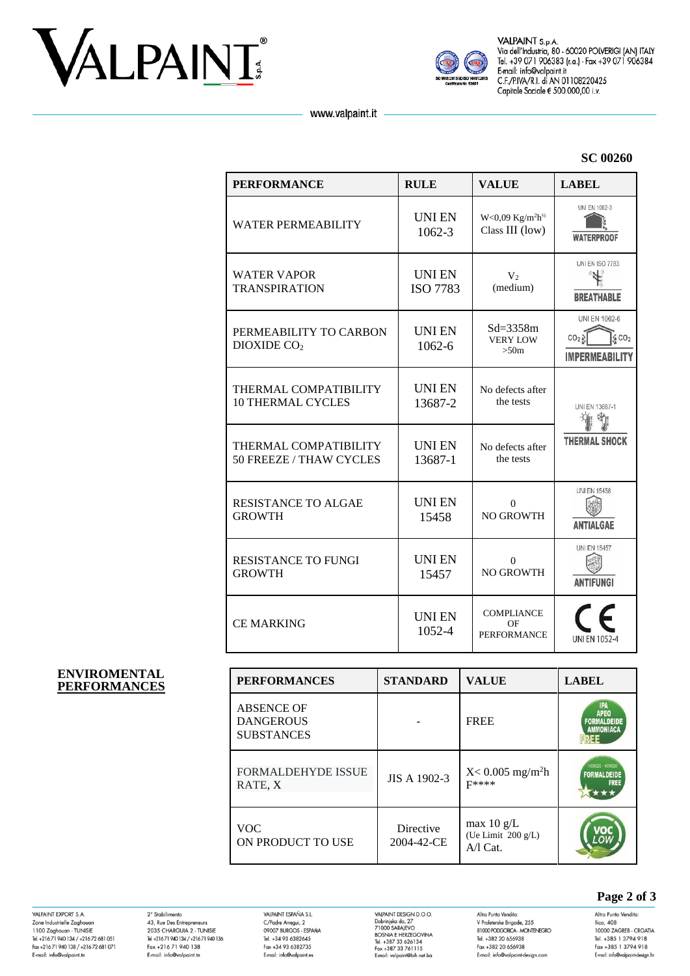



VALPAINT S.p.A. Victor VI 0:0:0:0<br>Via dell'Industria, 80 - 60020 POLVERIGI (AN) ITALY<br>Tel. +39 071 906383 (r.a.) - Fax +39 071 906384 E-mail: info@valpaint.it C.F./P.IVA/R.I. di AN 01108220425 Capitale Sociale € 500.000,00 i.v.

www.valpaint.it

#### **SC 00260**

| <b>PERFORMANCE</b>                                | <b>RULE</b>                     | <b>VALUE</b>                                                   | <b>LABEL</b>                                                                  |  |
|---------------------------------------------------|---------------------------------|----------------------------------------------------------------|-------------------------------------------------------------------------------|--|
| <b>WATER PERMEABILITY</b>                         | <b>UNIEN</b><br>1062-3          | $W<0,09$ Kg/m <sup>2</sup> h <sup>1/2</sup><br>Class III (low) | UNI EN 1062-3<br><b>WATERPROOF</b>                                            |  |
| <b>WATER VAPOR</b><br><b>TRANSPIRATION</b>        | <b>UNIEN</b><br><b>ISO 7783</b> | V <sub>2</sub><br>(medium)                                     | <b>UNI EN ISO 7783</b><br><b>BREATHABLE</b>                                   |  |
| PERMEABILITY TO CARBON<br>DIOXIDE CO <sub>2</sub> | <b>UNIEN</b><br>1062-6          | $Sd = 3358m$<br><b>VERY LOW</b><br>>50m                        | UNI EN 1062-6<br>CO <sub>2</sub><br>6CO <sub>2</sub><br><b>IMPERMEABILITY</b> |  |
| THERMAL COMPATIBILITY<br><b>10 THERMAL CYCLES</b> | <b>UNIEN</b><br>13687-2         | No defects after<br>the tests                                  | UNI EN 13687-1<br>≯ń.<br><b>THERMAL SHOCK</b>                                 |  |
| THERMAL COMPATIBILITY<br>50 FREEZE / THAW CYCLES  | <b>UNIEN</b><br>13687-1         | No defects after<br>the tests                                  |                                                                               |  |
| <b>RESISTANCE TO ALGAE</b><br><b>GROWTH</b>       | <b>UNIEN</b><br>15458           | $\Omega$<br><b>NO GROWTH</b>                                   | <b>UNI EN 15458</b><br><b>ANTIALGAE</b>                                       |  |
| <b>RESISTANCE TO FUNGI</b><br><b>GROWTH</b>       | <b>UNIEN</b><br>15457           | $\Omega$<br><b>NO GROWTH</b>                                   | <b>UNI EN 15457</b><br><b>ANTIFUNGI</b>                                       |  |
| <b>CE MARKING</b>                                 | <b>UNIEN</b><br>1052-4          | <b>COMPLIANCE</b><br>OF<br><b>PERFORMANCE</b>                  | UNI FN 1052-4                                                                 |  |

#### **ENVIROMENTAL**   $PERFORMANCES$

| <b>PERFORMANCES</b>                                        | <b>STANDARD</b>         | <b>VALUE</b>                                             | <b>LABEL</b>                                                 |
|------------------------------------------------------------|-------------------------|----------------------------------------------------------|--------------------------------------------------------------|
| <b>ABSENCE OF</b><br><b>DANGEROUS</b><br><b>SUBSTANCES</b> |                         | <b>FREE</b>                                              | IPA<br><b>APEO</b><br><b>FORMALDEIDE</b><br><b>AMMONIACA</b> |
| <b>FORMALDEHYDE ISSUE</b><br>RATE, X                       | JIS A 1902-3            | $X < 0.005$ mg/m <sup>2</sup> h<br><b>F****</b>          | K09025 - K09026<br><b>FORMALDEIDE</b><br><b>FREE</b>         |
| <b>VOC</b><br>ON PRODUCT TO USE                            | Directive<br>2004-42-CE | max $10 \text{ g/L}$<br>(Ue Limit 200 g/L)<br>$A/I$ Cat. |                                                              |

VALPAINT EXPORT S.A. Zone Industrielle Zaghouar 1100 Zaghouan - TUNISIE<br>Tel. +216 71 940 134 / +216 72 681 051 Fax +21671 940 138 / +21672 681 071<br>E-mail: info@valpaint.tn

2° Stabilimento<br>43, Rue Des Entrepreneurs 2035 CHARGUIA 2 - TUNISIE<br>Tel. +21671 940 134 / +21671 940 136 Fax +216 71 940 138<br>E-mail: info@valpaint.tn

VALPAINT ESPAÑA S.L.<br>C/Padre Arregui, 2<br>09007 BURGOS - ESPAÑA<br>Tel. +34 93 6382645 Fax +34 93 6382735 E-mail: info@valpaint.er

VAIPAINT DESIGN D.O.O.<br>Dobrinjska do, 27<br>71000 SARAJEVO<br>BOSNIA E HERZEGOVINA<br>Tel. +387 33 626134<br>Fax +387 33 761115<br>E-mail: valpaint@bih.net.ba

Altro Punto Vendita:<br>V Proleterske Brigade, 255 81000 PODGORICA - MONTENEGRO<br>Tel. +382 20 656938 Fax +382 20 656938<br>E-mail: info@valpaint-design.com

## **Page 2 of 3**

Altro Punto Vendita:<br>Ilica, 408 10000 ZAGREB - CROATIA<br>Tel. +385 1 3794 918 Fax +385 1 3794 918 E-mail: info@valpaint-desian.hr